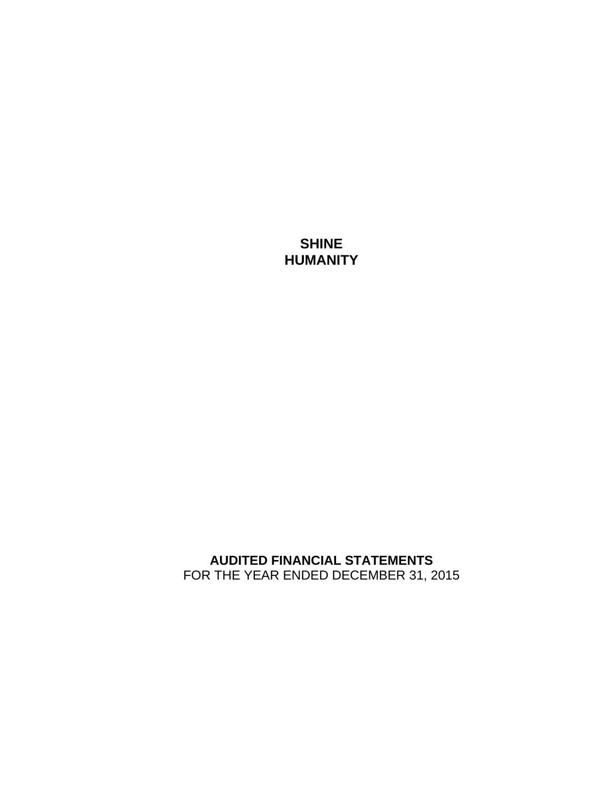**SHINE HUMANITY** 

**AUDITED FINANCIAL STATEMENTS**  FOR THE YEAR ENDED DECEMBER 31, 2015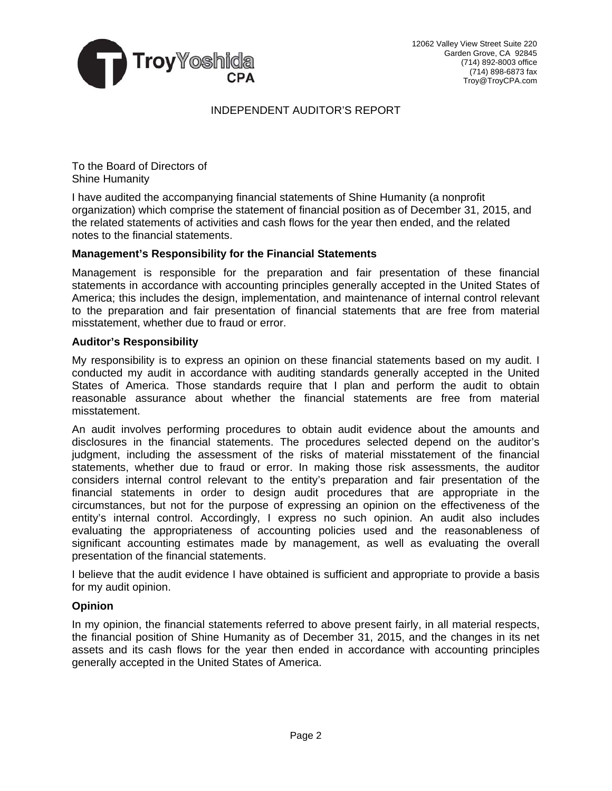

# INDEPENDENT AUDITOR'S REPORT

To the Board of Directors of Shine Humanity

I have audited the accompanying financial statements of Shine Humanity (a nonprofit organization) which comprise the statement of financial position as of December 31, 2015, and the related statements of activities and cash flows for the year then ended, and the related notes to the financial statements.

# **Management's Responsibility for the Financial Statements**

Management is responsible for the preparation and fair presentation of these financial statements in accordance with accounting principles generally accepted in the United States of America; this includes the design, implementation, and maintenance of internal control relevant to the preparation and fair presentation of financial statements that are free from material misstatement, whether due to fraud or error.

### **Auditor's Responsibility**

My responsibility is to express an opinion on these financial statements based on my audit. I conducted my audit in accordance with auditing standards generally accepted in the United States of America. Those standards require that I plan and perform the audit to obtain reasonable assurance about whether the financial statements are free from material misstatement.

An audit involves performing procedures to obtain audit evidence about the amounts and disclosures in the financial statements. The procedures selected depend on the auditor's judgment, including the assessment of the risks of material misstatement of the financial statements, whether due to fraud or error. In making those risk assessments, the auditor considers internal control relevant to the entity's preparation and fair presentation of the financial statements in order to design audit procedures that are appropriate in the circumstances, but not for the purpose of expressing an opinion on the effectiveness of the entity's internal control. Accordingly, I express no such opinion. An audit also includes evaluating the appropriateness of accounting policies used and the reasonableness of significant accounting estimates made by management, as well as evaluating the overall presentation of the financial statements.

I believe that the audit evidence I have obtained is sufficient and appropriate to provide a basis for my audit opinion.

### **Opinion**

In my opinion, the financial statements referred to above present fairly, in all material respects, the financial position of Shine Humanity as of December 31, 2015, and the changes in its net assets and its cash flows for the year then ended in accordance with accounting principles generally accepted in the United States of America.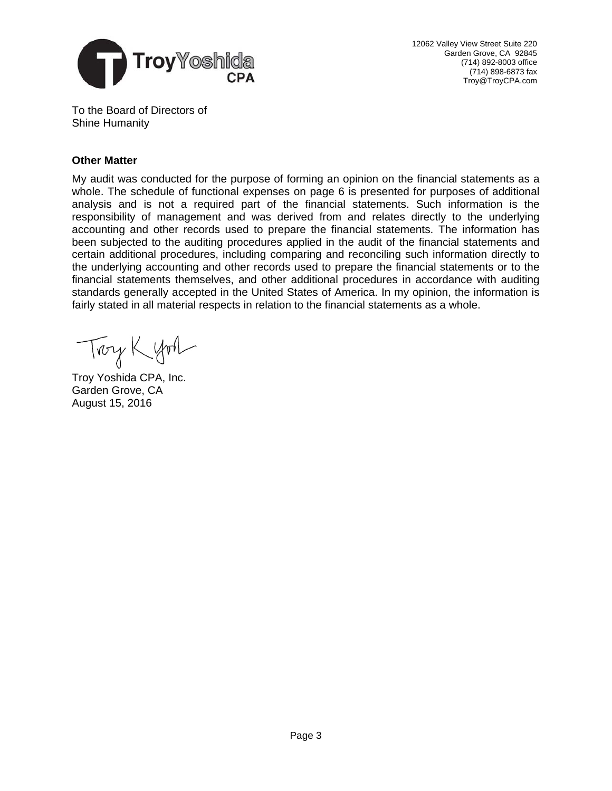

12062 Valley View Street Suite 220 Garden Grove, CA 92845 (714) 892-8003 office (714) 898-6873 fax Troy@TroyCPA.com

To the Board of Directors of Shine Humanity

# **Other Matter**

My audit was conducted for the purpose of forming an opinion on the financial statements as a whole. The schedule of functional expenses on page 6 is presented for purposes of additional analysis and is not a required part of the financial statements. Such information is the responsibility of management and was derived from and relates directly to the underlying accounting and other records used to prepare the financial statements. The information has been subjected to the auditing procedures applied in the audit of the financial statements and certain additional procedures, including comparing and reconciling such information directly to the underlying accounting and other records used to prepare the financial statements or to the financial statements themselves, and other additional procedures in accordance with auditing standards generally accepted in the United States of America. In my opinion, the information is fairly stated in all material respects in relation to the financial statements as a whole.

Troy Kyon

Troy Yoshida CPA, Inc. Garden Grove, CA August 15, 2016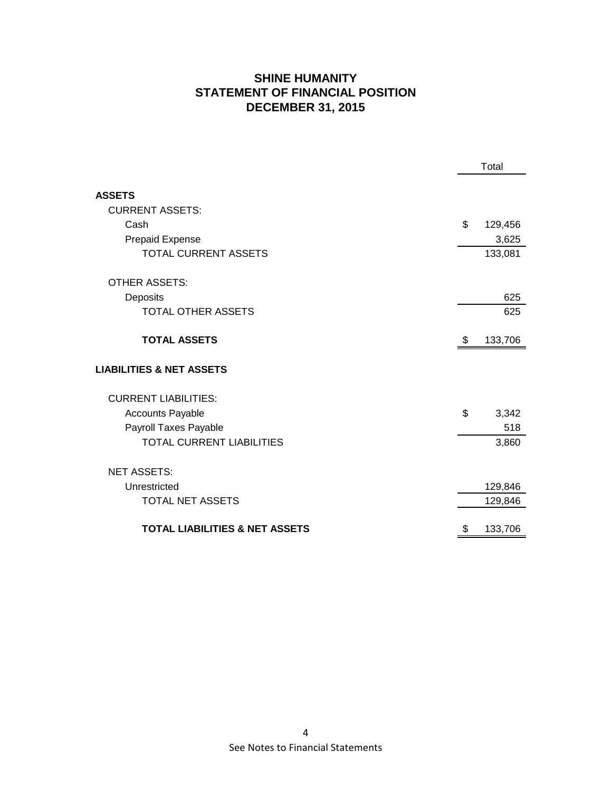# **SHINE HUMANITY STATEMENT OF FINANCIAL POSITION DECEMBER 31, 2015**

|                                                                    | Total |                  |
|--------------------------------------------------------------------|-------|------------------|
| <b>ASSETS</b><br><b>CURRENT ASSETS:</b><br>Cash<br>Prepaid Expense | \$    | 129,456<br>3,625 |
| <b>TOTAL CURRENT ASSETS</b><br><b>OTHER ASSETS:</b><br>Deposits    |       | 133,081<br>625   |
| <b>TOTAL OTHER ASSETS</b>                                          |       | 625              |
| <b>TOTAL ASSETS</b>                                                | \$    | 133,706          |
| <b>LIABILITIES &amp; NET ASSETS</b>                                |       |                  |
| <b>CURRENT LIABILITIES:</b>                                        |       |                  |
| <b>Accounts Payable</b>                                            | \$    | 3,342            |
| Payroll Taxes Payable                                              |       | 518              |
| <b>TOTAL CURRENT LIABILITIES</b>                                   |       | 3,860            |
| <b>NET ASSETS:</b>                                                 |       |                  |
| Unrestricted                                                       |       | 129,846          |
| <b>TOTAL NET ASSETS</b>                                            |       | 129,846          |
| <b>TOTAL LIABILITIES &amp; NET ASSETS</b>                          | \$    | 133,706          |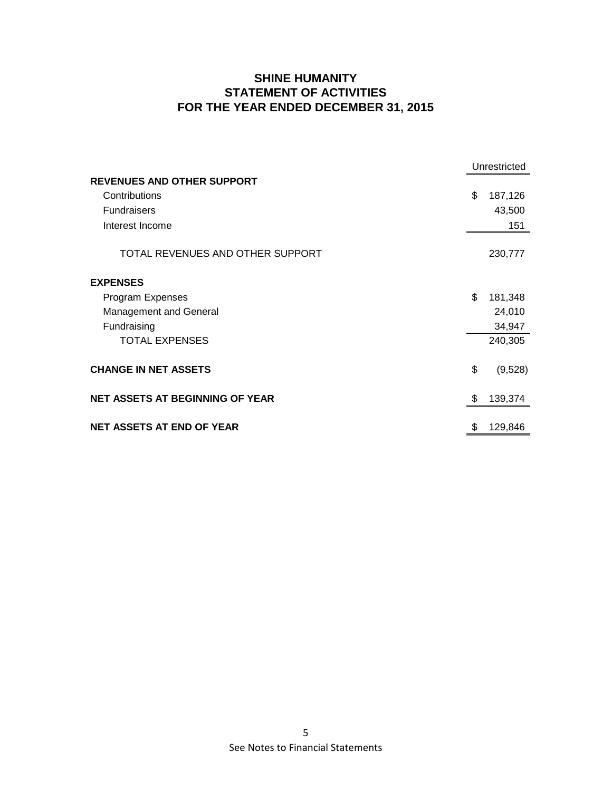# **SHINE HUMANITY STATEMENT OF ACTIVITIES FOR THE YEAR ENDED DECEMBER 31, 2015**

|                                        | Unrestricted  |
|----------------------------------------|---------------|
| <b>REVENUES AND OTHER SUPPORT</b>      |               |
| Contributions                          | \$<br>187,126 |
| <b>Fundraisers</b>                     | 43,500        |
| Interest Income                        | 151           |
|                                        |               |
| TOTAL REVENUES AND OTHER SUPPORT       | 230,777       |
| <b>EXPENSES</b>                        |               |
|                                        |               |
| Program Expenses                       | \$<br>181,348 |
| <b>Management and General</b>          | 24,010        |
| Fundraising                            | 34,947        |
| <b>TOTAL EXPENSES</b>                  | 240,305       |
| <b>CHANGE IN NET ASSETS</b>            | \$            |
|                                        | (9,528)       |
| <b>NET ASSETS AT BEGINNING OF YEAR</b> | 139,374<br>\$ |
|                                        |               |
| <b>NET ASSETS AT END OF YEAR</b>       | 129,846<br>\$ |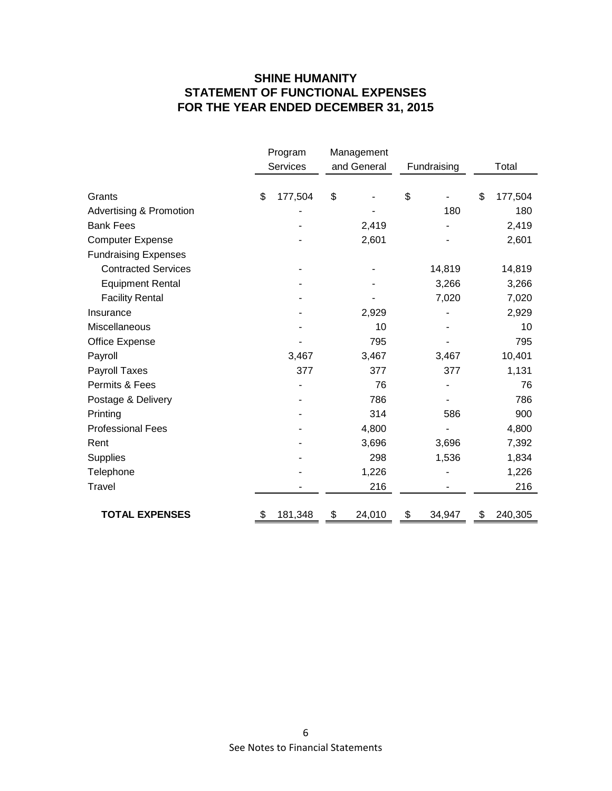# **SHINE HUMANITY STATEMENT OF FUNCTIONAL EXPENSES FOR THE YEAR ENDED DECEMBER 31, 2015**

|                                    | Program |          | Management |             |             |        |       |         |
|------------------------------------|---------|----------|------------|-------------|-------------|--------|-------|---------|
|                                    |         | Services |            | and General | Fundraising |        | Total |         |
|                                    |         |          |            |             |             |        |       |         |
| Grants                             | \$      | 177,504  | \$         |             | \$          |        | \$    | 177,504 |
| <b>Advertising &amp; Promotion</b> |         |          |            |             |             | 180    |       | 180     |
| <b>Bank Fees</b>                   |         |          |            | 2,419       |             |        |       | 2,419   |
| <b>Computer Expense</b>            |         |          |            | 2,601       |             |        |       | 2,601   |
| <b>Fundraising Expenses</b>        |         |          |            |             |             |        |       |         |
| <b>Contracted Services</b>         |         |          |            |             |             | 14,819 |       | 14,819  |
| <b>Equipment Rental</b>            |         |          |            |             |             | 3,266  |       | 3,266   |
| <b>Facility Rental</b>             |         |          |            |             |             | 7,020  |       | 7,020   |
| Insurance                          |         |          |            | 2,929       |             |        |       | 2,929   |
| Miscellaneous                      |         |          |            | 10          |             |        |       | 10      |
| Office Expense                     |         |          |            | 795         |             |        |       | 795     |
| Payroll                            |         | 3,467    |            | 3,467       |             | 3,467  |       | 10,401  |
| Payroll Taxes                      |         | 377      |            | 377         |             | 377    |       | 1,131   |
| Permits & Fees                     |         |          |            | 76          |             |        |       | 76      |
| Postage & Delivery                 |         |          |            | 786         |             |        |       | 786     |
| Printing                           |         |          |            | 314         |             | 586    |       | 900     |
| <b>Professional Fees</b>           |         |          |            | 4,800       |             |        |       | 4,800   |
| Rent                               |         |          |            | 3,696       |             | 3,696  |       | 7,392   |
| <b>Supplies</b>                    |         |          |            | 298         |             | 1,536  |       | 1,834   |
| Telephone                          |         |          |            | 1,226       |             |        |       | 1,226   |
| Travel                             |         |          |            | 216         |             |        |       | 216     |
|                                    |         |          |            |             |             |        |       |         |
| <b>TOTAL EXPENSES</b>              |         | 181,348  | \$         | 24,010      | \$          | 34,947 | \$    | 240,305 |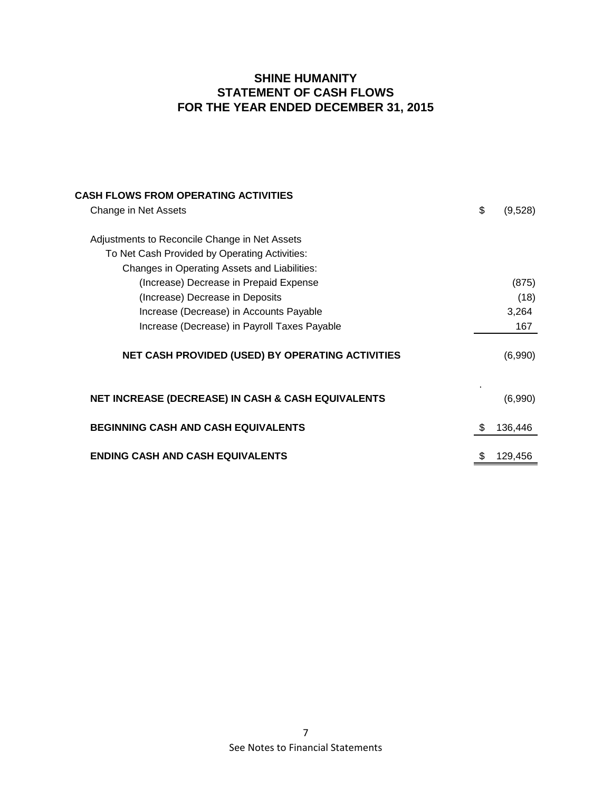# **SHINE HUMANITY STATEMENT OF CASH FLOWS FOR THE YEAR ENDED DECEMBER 31, 2015**

| CASH FLOWS FROM OPERATING ACTIVITIES                          |    |         |
|---------------------------------------------------------------|----|---------|
| Change in Net Assets                                          | \$ | (9,528) |
|                                                               |    |         |
| Adjustments to Reconcile Change in Net Assets                 |    |         |
| To Net Cash Provided by Operating Activities:                 |    |         |
| Changes in Operating Assets and Liabilities:                  |    |         |
| (Increase) Decrease in Prepaid Expense                        |    | (875)   |
| (Increase) Decrease in Deposits                               |    | (18)    |
| Increase (Decrease) in Accounts Payable                       |    | 3,264   |
| Increase (Decrease) in Payroll Taxes Payable                  |    | 167     |
| NET CASH PROVIDED (USED) BY OPERATING ACTIVITIES              |    | (6,990) |
| <b>NET INCREASE (DECREASE) IN CASH &amp; CASH EQUIVALENTS</b> |    | (6,990) |
| <b>BEGINNING CASH AND CASH EQUIVALENTS</b>                    | S  | 136,446 |
| <b>ENDING CASH AND CASH EQUIVALENTS</b>                       |    | 129,456 |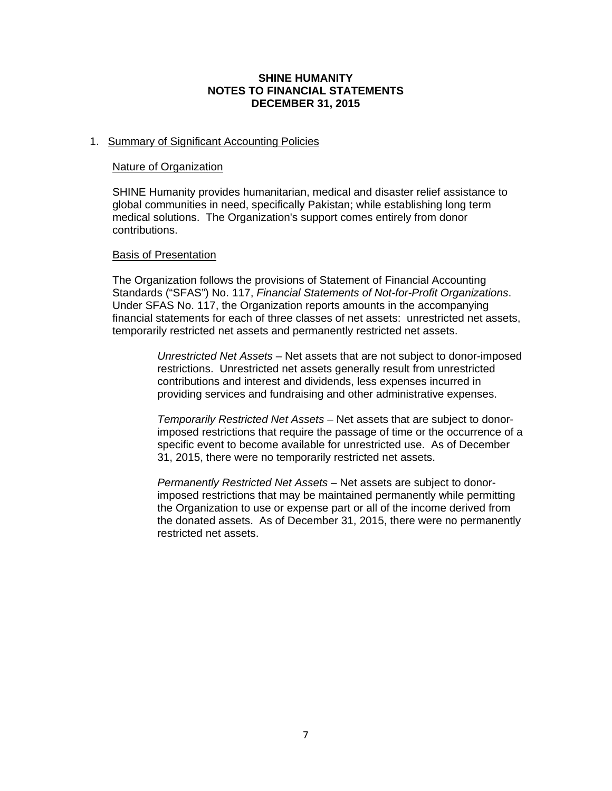### **SHINE HUMANITY NOTES TO FINANCIAL STATEMENTS DECEMBER 31, 2015**

# 1. Summary of Significant Accounting Policies

#### Nature of Organization

SHINE Humanity provides humanitarian, medical and disaster relief assistance to global communities in need, specifically Pakistan; while establishing long term medical solutions. The Organization's support comes entirely from donor contributions.

### Basis of Presentation

The Organization follows the provisions of Statement of Financial Accounting Standards ("SFAS") No. 117, *Financial Statements of Not-for-Profit Organizations*. Under SFAS No. 117, the Organization reports amounts in the accompanying financial statements for each of three classes of net assets: unrestricted net assets, temporarily restricted net assets and permanently restricted net assets.

> *Unrestricted Net Assets* – Net assets that are not subject to donor-imposed restrictions. Unrestricted net assets generally result from unrestricted contributions and interest and dividends, less expenses incurred in providing services and fundraising and other administrative expenses.

> *Temporarily Restricted Net Assets* – Net assets that are subject to donorimposed restrictions that require the passage of time or the occurrence of a specific event to become available for unrestricted use. As of December 31, 2015, there were no temporarily restricted net assets.

> *Permanently Restricted Net Assets* – Net assets are subject to donorimposed restrictions that may be maintained permanently while permitting the Organization to use or expense part or all of the income derived from the donated assets. As of December 31, 2015, there were no permanently restricted net assets.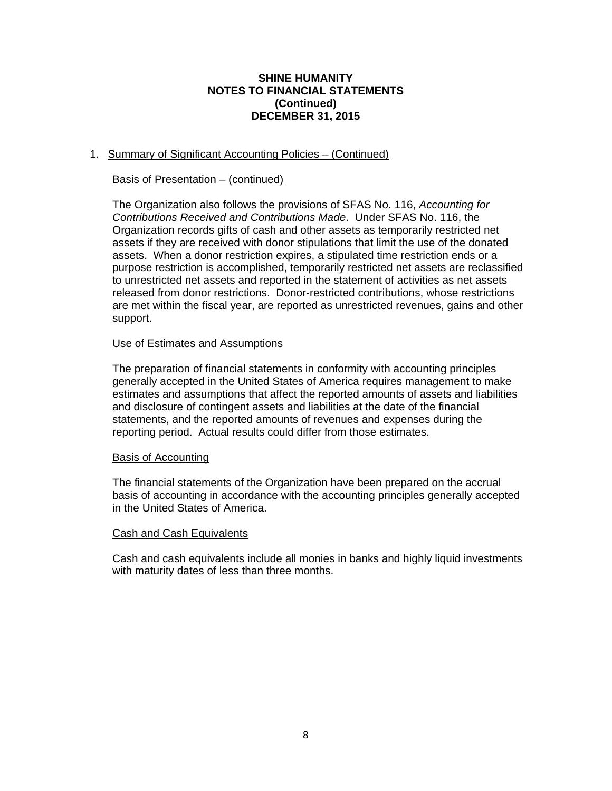### **SHINE HUMANITY NOTES TO FINANCIAL STATEMENTS (Continued) DECEMBER 31, 2015**

# 1. Summary of Significant Accounting Policies – (Continued)

# Basis of Presentation – (continued)

The Organization also follows the provisions of SFAS No. 116, *Accounting for Contributions Received and Contributions Made*. Under SFAS No. 116, the Organization records gifts of cash and other assets as temporarily restricted net assets if they are received with donor stipulations that limit the use of the donated assets. When a donor restriction expires, a stipulated time restriction ends or a purpose restriction is accomplished, temporarily restricted net assets are reclassified to unrestricted net assets and reported in the statement of activities as net assets released from donor restrictions. Donor-restricted contributions, whose restrictions are met within the fiscal year, are reported as unrestricted revenues, gains and other support.

# Use of Estimates and Assumptions

The preparation of financial statements in conformity with accounting principles generally accepted in the United States of America requires management to make estimates and assumptions that affect the reported amounts of assets and liabilities and disclosure of contingent assets and liabilities at the date of the financial statements, and the reported amounts of revenues and expenses during the reporting period. Actual results could differ from those estimates.

### Basis of Accounting

The financial statements of the Organization have been prepared on the accrual basis of accounting in accordance with the accounting principles generally accepted in the United States of America.

### Cash and Cash Equivalents

Cash and cash equivalents include all monies in banks and highly liquid investments with maturity dates of less than three months.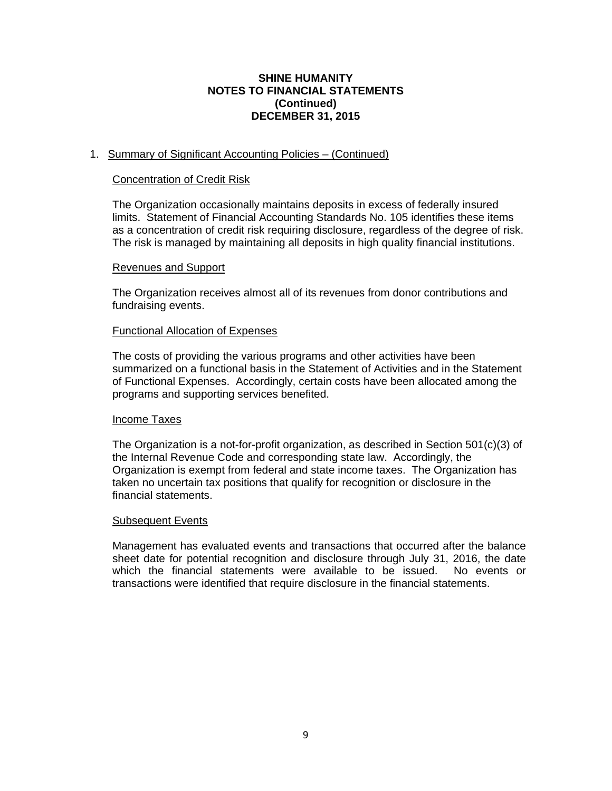### **SHINE HUMANITY NOTES TO FINANCIAL STATEMENTS (Continued) DECEMBER 31, 2015**

# 1. Summary of Significant Accounting Policies – (Continued)

#### Concentration of Credit Risk

The Organization occasionally maintains deposits in excess of federally insured limits. Statement of Financial Accounting Standards No. 105 identifies these items as a concentration of credit risk requiring disclosure, regardless of the degree of risk. The risk is managed by maintaining all deposits in high quality financial institutions.

#### Revenues and Support

The Organization receives almost all of its revenues from donor contributions and fundraising events.

#### Functional Allocation of Expenses

The costs of providing the various programs and other activities have been summarized on a functional basis in the Statement of Activities and in the Statement of Functional Expenses. Accordingly, certain costs have been allocated among the programs and supporting services benefited.

#### Income Taxes

The Organization is a not-for-profit organization, as described in Section 501(c)(3) of the Internal Revenue Code and corresponding state law. Accordingly, the Organization is exempt from federal and state income taxes. The Organization has taken no uncertain tax positions that qualify for recognition or disclosure in the financial statements.

#### Subsequent Events

Management has evaluated events and transactions that occurred after the balance sheet date for potential recognition and disclosure through July 31, 2016, the date which the financial statements were available to be issued. No events or which the financial statements were available to be issued. transactions were identified that require disclosure in the financial statements.